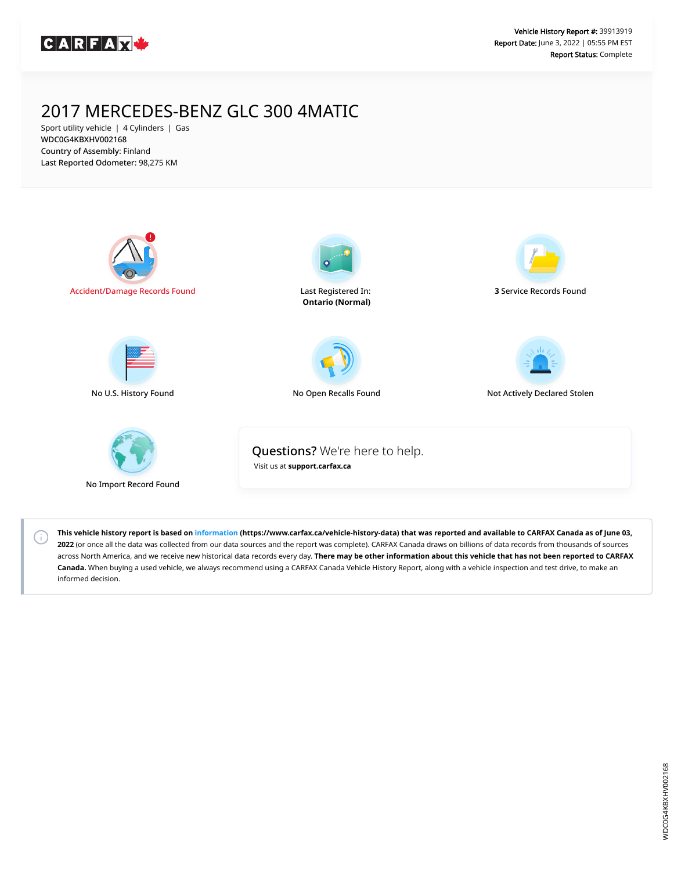

# 2017 MERCEDES-BENZ GLC 300 4MATIC

Sport utility vehicle | 4 Cylinders | Gas WDC0G4KBXHV002168 Country of Assembly: Finland Last Reported Odometer: 98,275 KM





**This vehicle history report is based on [information](https://www.carfax.ca/vehicle-history-data) (https://www.carfax.ca/vehicle-history-data) that was reported and available to CARFAX Canada as of June 03, 2022** (or once all the data was collected from our data sources and the report was complete). CARFAX Canada draws on billions of data records from thousands of sources across North America, and we receive new historical data records every day. **There may be other information about this vehicle that has not been reported to CARFAX Canada.** When buying a used vehicle, we always recommend using a CARFAX Canada Vehicle History Report, along with a vehicle inspection and test drive, to make an informed decision.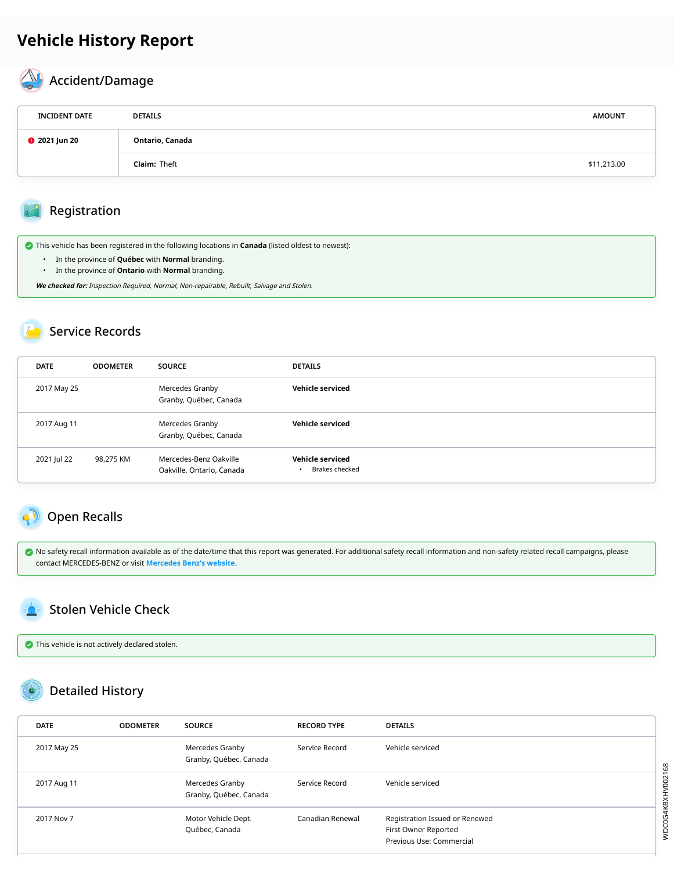# **Vehicle History Report**

#### A Accident/Damage

| <b>INCIDENT DATE</b>                    | <b>DETAILS</b>      | <b>AMOUNT</b> |
|-----------------------------------------|---------------------|---------------|
| Ontario, Canada<br><b>@</b> 2021 Jun 20 |                     |               |
|                                         | <b>Claim: Theft</b> | \$11,213.00   |

### Registration

This vehicle has been registered in the following locations in **Canada** (listed oldest to newest):

- In the province of **Québec** with **Normal** branding.
- In the province of **Ontario** with **Normal** branding.

**We checked for:** Inspection Required, Normal, Non-repairable, Rebuilt, Salvage and Stolen.

### Service Records

| <b>DATE</b> | <b>ODOMETER</b> | <b>SOURCE</b>                                       | <b>DETAILS</b>                                  |
|-------------|-----------------|-----------------------------------------------------|-------------------------------------------------|
| 2017 May 25 |                 | Mercedes Granby<br>Granby, Québec, Canada           | Vehicle serviced                                |
| 2017 Aug 11 |                 | Mercedes Granby<br>Granby, Québec, Canada           | Vehicle serviced                                |
| 2021 Jul 22 | 98,275 KM       | Mercedes-Benz Oakville<br>Oakville, Ontario, Canada | Vehicle serviced<br>Brakes checked<br>$\bullet$ |

## <span id="page-1-0"></span>Open Recalls

 $\bullet$  No safety recall information available as of the date/time that this report was generated. For additional safety recall information and non-safety related recall campaigns, please contact MERCEDES-BENZ or visit **[Mercedes Benz's website.](https://www.mercedes-benz.ca/en/recalls)**

## <span id="page-1-1"></span>Stolen Vehicle Check

This vehicle is not actively declared stolen.

## Detailed History

| <b>DATE</b> | <b>ODOMETER</b> | <b>SOURCE</b>                             | <b>RECORD TYPE</b> | <b>DETAILS</b>                                                                     |
|-------------|-----------------|-------------------------------------------|--------------------|------------------------------------------------------------------------------------|
| 2017 May 25 |                 | Mercedes Granby<br>Granby, Québec, Canada | Service Record     | Vehicle serviced                                                                   |
| 2017 Aug 11 |                 | Mercedes Granby<br>Granby, Québec, Canada | Service Record     | Vehicle serviced                                                                   |
| 2017 Nov 7  |                 | Motor Vehicle Dept.<br>Québec, Canada     | Canadian Renewal   | Registration Issued or Renewed<br>First Owner Reported<br>Previous Use: Commercial |